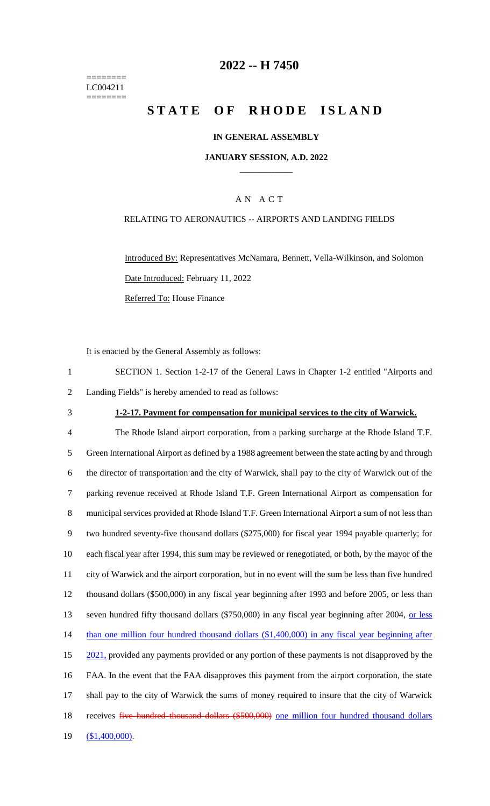======== LC004211 ========

# **2022 -- H 7450**

# **STATE OF RHODE ISLAND**

### **IN GENERAL ASSEMBLY**

#### **JANUARY SESSION, A.D. 2022 \_\_\_\_\_\_\_\_\_\_\_\_**

### A N A C T

### RELATING TO AERONAUTICS -- AIRPORTS AND LANDING FIELDS

Introduced By: Representatives McNamara, Bennett, Vella-Wilkinson, and Solomon Date Introduced: February 11, 2022 Referred To: House Finance

It is enacted by the General Assembly as follows:

1 SECTION 1. Section 1-2-17 of the General Laws in Chapter 1-2 entitled "Airports and 2 Landing Fields" is hereby amended to read as follows:

#### 3 **1-2-17. Payment for compensation for municipal services to the city of Warwick.**

 The Rhode Island airport corporation, from a parking surcharge at the Rhode Island T.F. Green International Airport as defined by a 1988 agreement between the state acting by and through the director of transportation and the city of Warwick, shall pay to the city of Warwick out of the parking revenue received at Rhode Island T.F. Green International Airport as compensation for municipal services provided at Rhode Island T.F. Green International Airport a sum of not less than two hundred seventy-five thousand dollars (\$275,000) for fiscal year 1994 payable quarterly; for each fiscal year after 1994, this sum may be reviewed or renegotiated, or both, by the mayor of the city of Warwick and the airport corporation, but in no event will the sum be less than five hundred thousand dollars (\$500,000) in any fiscal year beginning after 1993 and before 2005, or less than 13 seven hundred fifty thousand dollars (\$750,000) in any fiscal year beginning after 2004, or less 14 than one million four hundred thousand dollars (\$1,400,000) in any fiscal year beginning after 15 2021, provided any payments provided or any portion of these payments is not disapproved by the FAA. In the event that the FAA disapproves this payment from the airport corporation, the state shall pay to the city of Warwick the sums of money required to insure that the city of Warwick 18 receives five hundred thousand dollars (\$500,000) one million four hundred thousand dollars (\$1,400,000).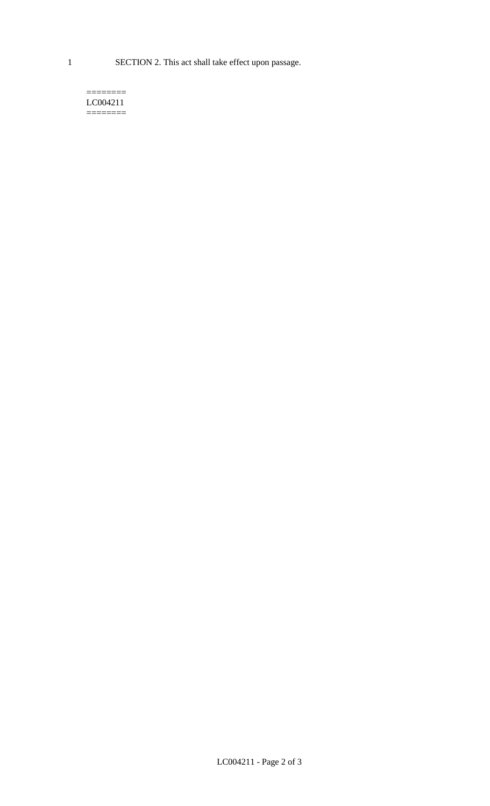1 SECTION 2. This act shall take effect upon passage.

#### $=$ LC004211  $=$